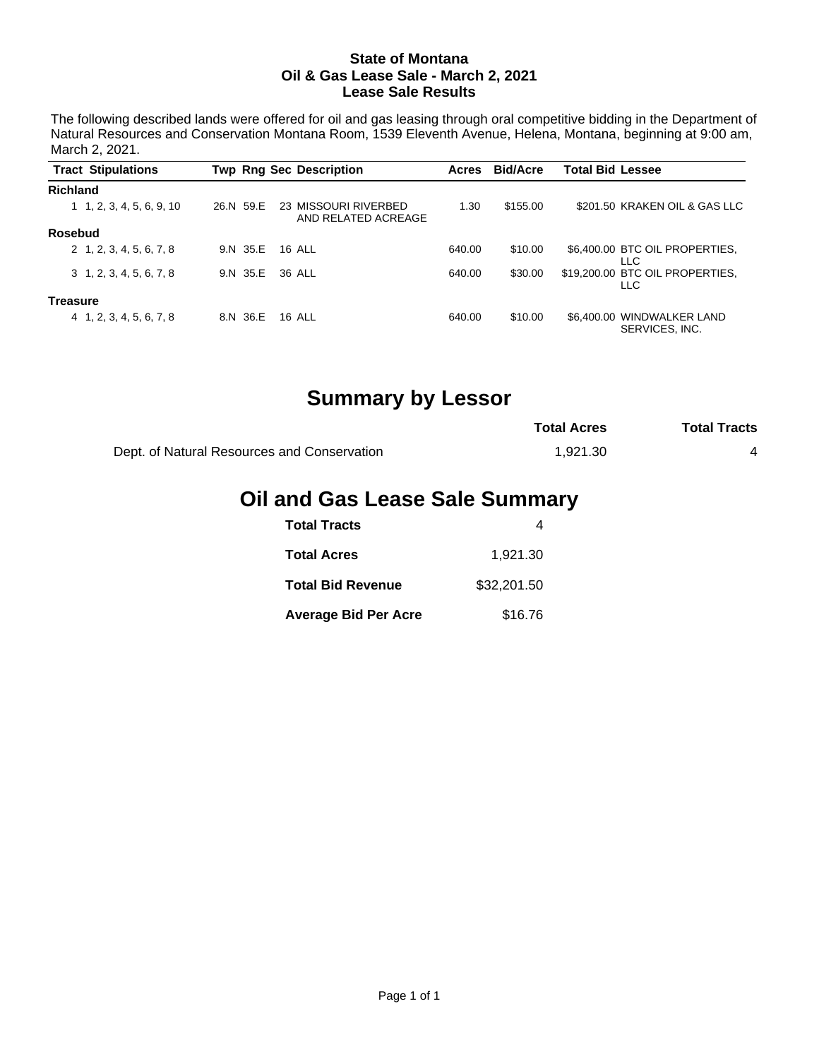#### **State of Montana Oil & Gas Lease Sale - March 2, 2021 Lease Sale Results**

The following described lands were offered for oil and gas leasing through oral competitive bidding in the Department of Natural Resources and Conservation Montana Room, 1539 Eleventh Avenue, Helena, Montana, beginning at 9:00 am, March 2, 2021.

|                 | <b>Tract Stipulations</b>         |           | <b>Twp Rng Sec Description</b>              | Acres  | <b>Bid/Acre</b> | <b>Total Bid Lessee</b> |                                        |
|-----------------|-----------------------------------|-----------|---------------------------------------------|--------|-----------------|-------------------------|----------------------------------------|
| <b>Richland</b> |                                   |           |                                             |        |                 |                         |                                        |
|                 | $1 \quad 1, 2, 3, 4, 5, 6, 9, 10$ | 26.N 59.E | 23 MISSOURI RIVERBED<br>AND RELATED ACREAGE | 1.30   | \$155.00        |                         | \$201.50 KRAKEN OIL & GAS LLC          |
| Rosebud         |                                   |           |                                             |        |                 |                         |                                        |
|                 | 2 1, 2, 3, 4, 5, 6, 7, 8          | 9.N 35.E  | 16 AI I                                     | 640.00 | \$10.00         |                         | \$6,400.00 BTC OIL PROPERTIES.<br>LLC  |
|                 | $3\quad 1, 2, 3, 4, 5, 6, 7, 8$   | 9.N 35.E  | 36 ALL                                      | 640.00 | \$30.00         |                         | \$19,200.00 BTC OIL PROPERTIES.<br>LLC |
| <b>Treasure</b> |                                   |           |                                             |        |                 |                         |                                        |
|                 | 4 1, 2, 3, 4, 5, 6, 7, 8          | 8.N 36.E  | <b>16 ALL</b>                               | 640.00 | \$10.00         | \$6,400,00              | WINDWALKER LAND<br>SERVICES, INC.      |

# **Summary by Lessor**

|                                             | <b>Total Acres</b> | <b>Total Tracts</b> |
|---------------------------------------------|--------------------|---------------------|
| Dept. of Natural Resources and Conservation | 1.921.30           |                     |

# **Oil and Gas Lease Sale Summary**

| <b>Total Tracts</b>         |             |
|-----------------------------|-------------|
| <b>Total Acres</b>          | 1.921.30    |
| <b>Total Bid Revenue</b>    | \$32,201.50 |
| <b>Average Bid Per Acre</b> | \$16.76     |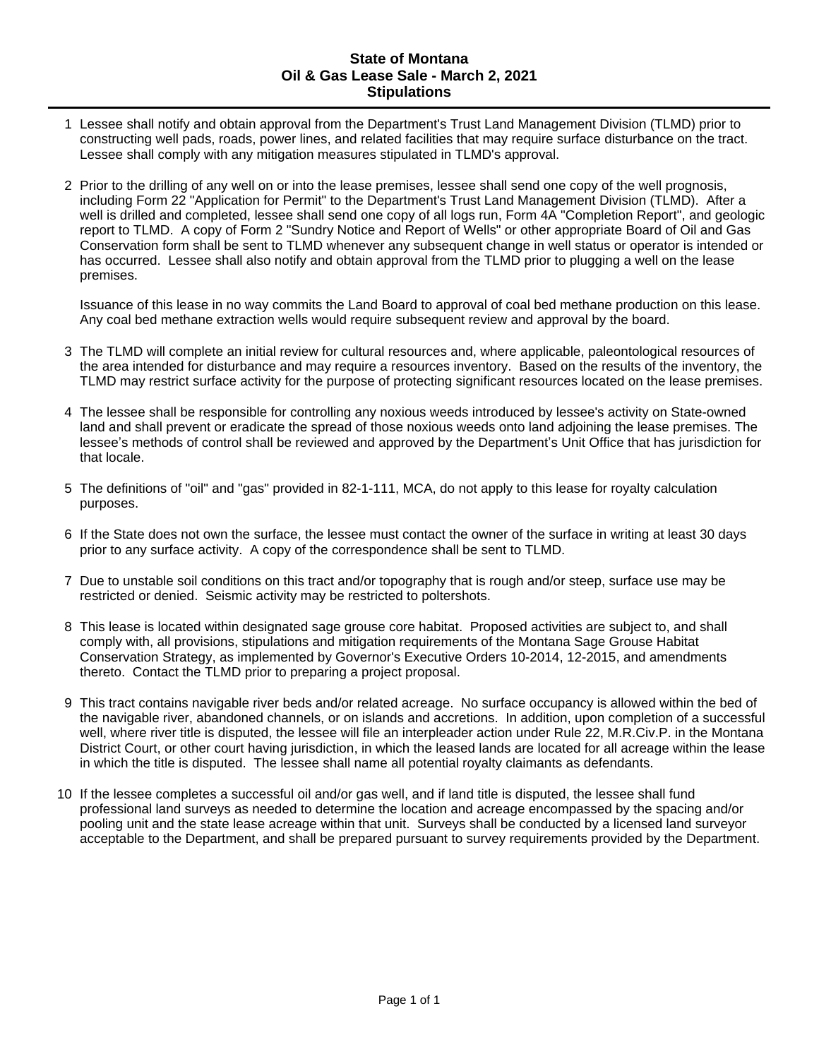### **State of Montana Oil & Gas Lease Sale - March 2, 2021 Stipulations**

- 1 Lessee shall notify and obtain approval from the Department's Trust Land Management Division (TLMD) prior to constructing well pads, roads, power lines, and related facilities that may require surface disturbance on the tract. Lessee shall comply with any mitigation measures stipulated in TLMD's approval.
- 2 Prior to the drilling of any well on or into the lease premises, lessee shall send one copy of the well prognosis, including Form 22 "Application for Permit" to the Department's Trust Land Management Division (TLMD). After a well is drilled and completed, lessee shall send one copy of all logs run, Form 4A "Completion Report", and geologic report to TLMD. A copy of Form 2 "Sundry Notice and Report of Wells" or other appropriate Board of Oil and Gas Conservation form shall be sent to TLMD whenever any subsequent change in well status or operator is intended or has occurred. Lessee shall also notify and obtain approval from the TLMD prior to plugging a well on the lease premises.

Issuance of this lease in no way commits the Land Board to approval of coal bed methane production on this lease. Any coal bed methane extraction wells would require subsequent review and approval by the board.

- 3 The TLMD will complete an initial review for cultural resources and, where applicable, paleontological resources of the area intended for disturbance and may require a resources inventory. Based on the results of the inventory, the TLMD may restrict surface activity for the purpose of protecting significant resources located on the lease premises.
- 4 The lessee shall be responsible for controlling any noxious weeds introduced by lessee's activity on State-owned land and shall prevent or eradicate the spread of those noxious weeds onto land adjoining the lease premises. The lessee's methods of control shall be reviewed and approved by the Department's Unit Office that has jurisdiction for that locale.
- 5 The definitions of "oil" and "gas" provided in 82-1-111, MCA, do not apply to this lease for royalty calculation purposes.
- 6 If the State does not own the surface, the lessee must contact the owner of the surface in writing at least 30 days prior to any surface activity. A copy of the correspondence shall be sent to TLMD.
- 7 Due to unstable soil conditions on this tract and/or topography that is rough and/or steep, surface use may be restricted or denied. Seismic activity may be restricted to poltershots.
- 8 This lease is located within designated sage grouse core habitat. Proposed activities are subject to, and shall comply with, all provisions, stipulations and mitigation requirements of the Montana Sage Grouse Habitat Conservation Strategy, as implemented by Governor's Executive Orders 10-2014, 12-2015, and amendments thereto. Contact the TLMD prior to preparing a project proposal.
- 9 This tract contains navigable river beds and/or related acreage. No surface occupancy is allowed within the bed of the navigable river, abandoned channels, or on islands and accretions. In addition, upon completion of a successful well, where river title is disputed, the lessee will file an interpleader action under Rule 22, M.R.Civ.P. in the Montana District Court, or other court having jurisdiction, in which the leased lands are located for all acreage within the lease in which the title is disputed. The lessee shall name all potential royalty claimants as defendants.
- 10 If the lessee completes a successful oil and/or gas well, and if land title is disputed, the lessee shall fund professional land surveys as needed to determine the location and acreage encompassed by the spacing and/or pooling unit and the state lease acreage within that unit. Surveys shall be conducted by a licensed land surveyor acceptable to the Department, and shall be prepared pursuant to survey requirements provided by the Department.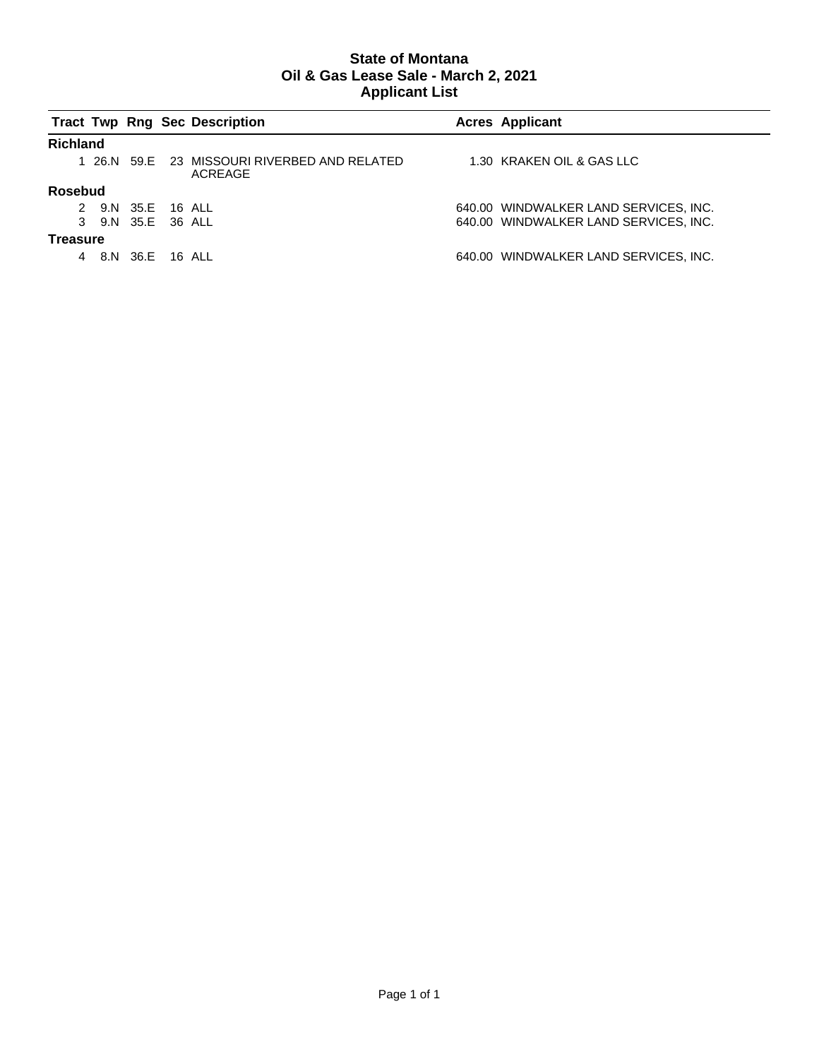### **State of Montana Oil & Gas Lease Sale - March 2, 2021 Applicant List**

|                 |                   |  | <b>Tract Twp Rng Sec Description</b>                    | <b>Acres Applicant</b>                |
|-----------------|-------------------|--|---------------------------------------------------------|---------------------------------------|
| <b>Richland</b> |                   |  |                                                         |                                       |
|                 |                   |  | 1 26.N 59.E 23 MISSOURI RIVERBED AND RELATED<br>ACREAGE | 1.30 KRAKEN OIL & GAS LLC             |
| <b>Rosebud</b>  |                   |  |                                                         |                                       |
|                 | 2 9.N 35.E 16 ALL |  |                                                         | 640.00 WINDWALKER LAND SERVICES, INC. |
|                 | 3 9.N 35.E 36 ALL |  |                                                         | 640.00 WINDWALKER LAND SERVICES, INC. |
| Treasure        |                   |  |                                                         |                                       |
|                 | 4 8.N 36.E 16 ALL |  |                                                         | 640.00 WINDWALKER LAND SERVICES, INC. |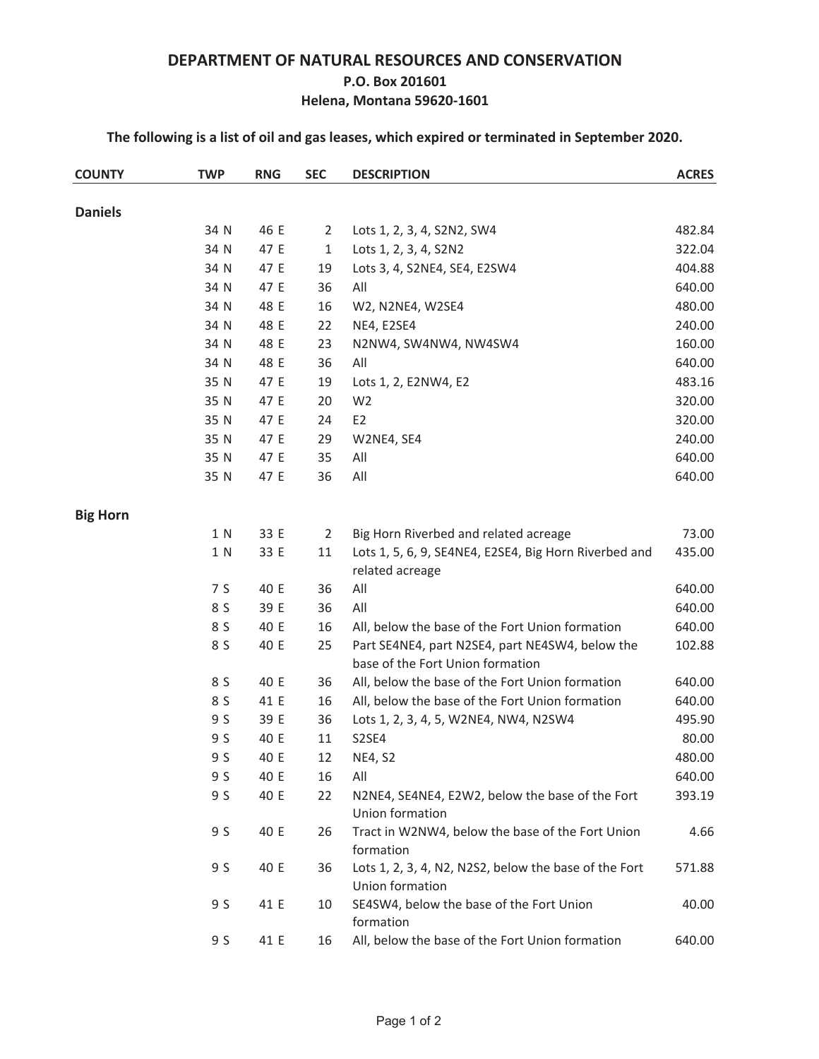## **DEPARTMENT OF NATURAL RESOURCES AND CONSERVATION P.O. Box 201601 Helena, Montana 59620-1601**

**The following is a list of oil and gas leases, which expired or terminated in September 2020.**

| <b>COUNTY</b>   | <b>TWP</b> | <b>RNG</b> | <b>SEC</b>     | <b>DESCRIPTION</b>                                                                  | <b>ACRES</b> |
|-----------------|------------|------------|----------------|-------------------------------------------------------------------------------------|--------------|
| <b>Daniels</b>  |            |            |                |                                                                                     |              |
|                 | 34 N       | 46 E       | $\overline{2}$ | Lots 1, 2, 3, 4, S2N2, SW4                                                          | 482.84       |
|                 | 34 N       | 47 E       | $\mathbf{1}$   | Lots 1, 2, 3, 4, S2N2                                                               | 322.04       |
|                 | 34 N       | 47 E       | 19             | Lots 3, 4, S2NE4, SE4, E2SW4                                                        | 404.88       |
|                 | 34 N       | 47 E       | 36             | All                                                                                 | 640.00       |
|                 | 34 N       | 48 E       | 16             | W2, N2NE4, W2SE4                                                                    | 480.00       |
|                 | 34 N       | 48 E       | 22             | NE4, E2SE4                                                                          | 240.00       |
|                 | 34 N       | 48 E       | 23             | N2NW4, SW4NW4, NW4SW4                                                               | 160.00       |
|                 | 34 N       | 48 E       | 36             | All                                                                                 | 640.00       |
|                 | 35 N       | 47 E       | 19             | Lots 1, 2, E2NW4, E2                                                                | 483.16       |
|                 | 35 N       | 47 E       | 20             | W <sub>2</sub>                                                                      | 320.00       |
|                 | 35 N       | 47 E       | 24             | E <sub>2</sub>                                                                      | 320.00       |
|                 | 35 N       | 47 E       | 29             | W2NE4, SE4                                                                          | 240.00       |
|                 | 35 N       | 47 E       | 35             | All                                                                                 | 640.00       |
|                 | 35 N       | 47 E       | 36             | All                                                                                 | 640.00       |
| <b>Big Horn</b> |            |            |                |                                                                                     |              |
|                 | 1 N        | 33 E       | $\overline{2}$ | Big Horn Riverbed and related acreage                                               | 73.00        |
|                 | 1 N        | 33 E       | 11             | Lots 1, 5, 6, 9, SE4NE4, E2SE4, Big Horn Riverbed and                               | 435.00       |
|                 |            |            |                | related acreage                                                                     |              |
|                 | 7 S        | 40 E       | 36             | All                                                                                 | 640.00       |
|                 | 8 S        | 39 E       | 36             | All                                                                                 | 640.00       |
|                 | 8 S        | 40 E       | 16             | All, below the base of the Fort Union formation                                     | 640.00       |
|                 | 8 S        | 40 E       | 25             | Part SE4NE4, part N2SE4, part NE4SW4, below the<br>base of the Fort Union formation | 102.88       |
|                 | 8 S        | 40 E       | 36             | All, below the base of the Fort Union formation                                     | 640.00       |
|                 | 8 S        | 41 E       | 16             | All, below the base of the Fort Union formation                                     | 640.00       |
|                 | 9 S        | 39 E       | 36             | Lots 1, 2, 3, 4, 5, W2NE4, NW4, N2SW4                                               | 495.90       |
|                 | 9 S        | 40 E       | 11             | S2SE4                                                                               | 80.00        |
|                 | 9 S        | 40 E       | 12             | <b>NE4, S2</b>                                                                      | 480.00       |
|                 | 9 S        | 40 E       | 16             | All                                                                                 | 640.00       |
|                 | 9 S        | 40 E       | 22             | N2NE4, SE4NE4, E2W2, below the base of the Fort<br>Union formation                  | 393.19       |
|                 | 9 S        | 40 E       | 26             | Tract in W2NW4, below the base of the Fort Union<br>formation                       | 4.66         |
|                 | 9 S        | 40 E       | 36             | Lots 1, 2, 3, 4, N2, N2S2, below the base of the Fort<br>Union formation            | 571.88       |
|                 | 9 S        | 41 E       | 10             | SE4SW4, below the base of the Fort Union<br>formation                               | 40.00        |
|                 | 9 S        | 41 E       | 16             | All, below the base of the Fort Union formation                                     | 640.00       |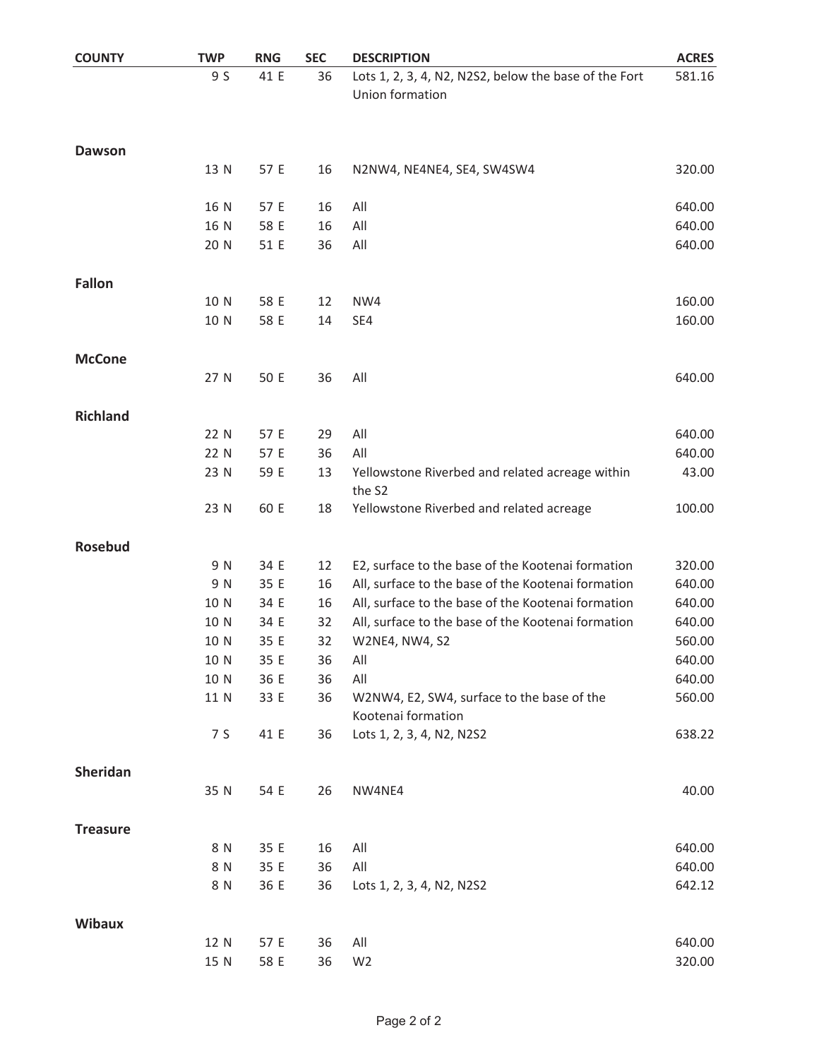| <b>COUNTY</b>   | <b>TWP</b> | <b>RNG</b> | <b>SEC</b> | <b>DESCRIPTION</b>                                                       | <b>ACRES</b> |
|-----------------|------------|------------|------------|--------------------------------------------------------------------------|--------------|
|                 | 9 S        | 41 E       | 36         | Lots 1, 2, 3, 4, N2, N2S2, below the base of the Fort<br>Union formation | 581.16       |
| Dawson          |            |            |            |                                                                          |              |
|                 | 13 N       | 57 E       | 16         | N2NW4, NE4NE4, SE4, SW4SW4                                               | 320.00       |
|                 | 16 N       | 57 E       | 16         | All                                                                      | 640.00       |
|                 | 16 N       | 58 E       | 16         | All                                                                      | 640.00       |
|                 | 20 N       | 51 E       | 36         | All                                                                      | 640.00       |
| <b>Fallon</b>   |            |            |            |                                                                          |              |
|                 | 10 N       | 58 E       | 12         | NW4                                                                      | 160.00       |
|                 | 10 N       | 58 E       | 14         | SE4                                                                      | 160.00       |
| <b>McCone</b>   |            |            |            |                                                                          |              |
|                 | 27 N       | 50 E       | 36         | All                                                                      | 640.00       |
| <b>Richland</b> |            |            |            |                                                                          |              |
|                 | 22 N       | 57 E       | 29         | All                                                                      | 640.00       |
|                 | 22 N       | 57 E       | 36         | All                                                                      | 640.00       |
|                 | 23 N       | 59 E       | 13         | Yellowstone Riverbed and related acreage within<br>the S2                | 43.00        |
|                 | 23 N       | 60 E       | 18         | Yellowstone Riverbed and related acreage                                 | 100.00       |
| <b>Rosebud</b>  |            |            |            |                                                                          |              |
|                 | 9 N        | 34 E       | 12         | E2, surface to the base of the Kootenai formation                        | 320.00       |
|                 | 9 N        | 35 E       | 16         | All, surface to the base of the Kootenai formation                       | 640.00       |
|                 | 10 N       | 34 E       | 16         | All, surface to the base of the Kootenai formation                       | 640.00       |
|                 | 10 N       | 34 E       | 32         | All, surface to the base of the Kootenai formation                       | 640.00       |
|                 | 10 N       | 35 E       | 32         | W2NE4, NW4, S2                                                           | 560.00       |
|                 | 10 N       | 35 E       | 36         | All                                                                      | 640.00       |
|                 | 10 N       | 36 E       | 36         | All                                                                      | 640.00       |
|                 | 11 N       | 33 E       | 36         | W2NW4, E2, SW4, surface to the base of the<br>Kootenai formation         | 560.00       |
|                 | 7 S        | 41 E       | 36         | Lots 1, 2, 3, 4, N2, N2S2                                                | 638.22       |
| Sheridan        |            |            |            |                                                                          |              |
|                 | 35 N       | 54 E       | 26         | NW4NE4                                                                   | 40.00        |
| <b>Treasure</b> |            |            |            |                                                                          |              |
|                 | 8 N        | 35 E       | 16         | All                                                                      | 640.00       |
|                 | 8 N        | 35 E       | 36         | All                                                                      | 640.00       |
|                 | 8 N        | 36 E       | 36         | Lots 1, 2, 3, 4, N2, N2S2                                                | 642.12       |
| <b>Wibaux</b>   |            |            |            |                                                                          |              |
|                 | 12 N       | 57 E       | 36         | All                                                                      | 640.00       |
|                 | 15 N       | 58 E       | 36         | W <sub>2</sub>                                                           | 320.00       |